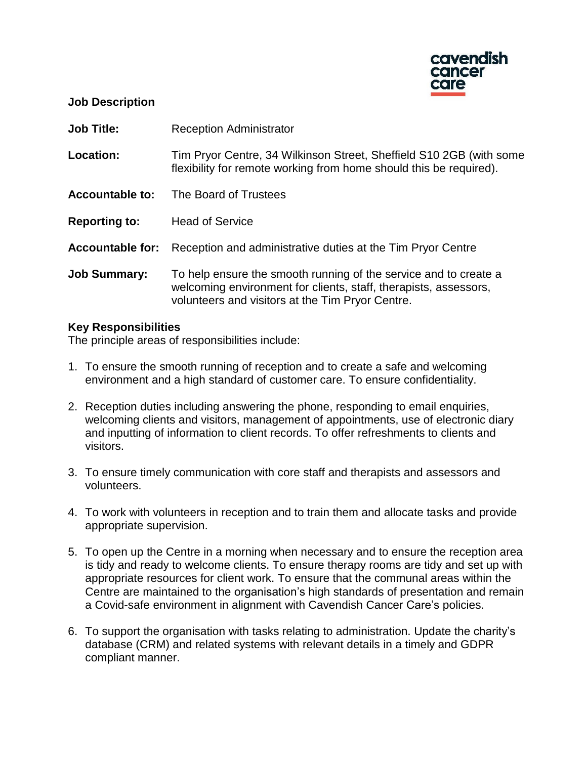

#### **Job Description**

**Job Title:** Reception Administrator

**Location:** Tim Pryor Centre, 34 Wilkinson Street, Sheffield S10 2GB (with some flexibility for remote working from home should this be required).

**Accountable to:** The Board of Trustees

**Reporting to:** Head of Service

**Accountable for:** Reception and administrative duties at the Tim Pryor Centre

**Job Summary:** To help ensure the smooth running of the service and to create a welcoming environment for clients, staff, therapists, assessors, volunteers and visitors at the Tim Pryor Centre.

#### **Key Responsibilities**

The principle areas of responsibilities include:

- 1. To ensure the smooth running of reception and to create a safe and welcoming environment and a high standard of customer care. To ensure confidentiality.
- 2. Reception duties including answering the phone, responding to email enquiries, welcoming clients and visitors, management of appointments, use of electronic diary and inputting of information to client records. To offer refreshments to clients and visitors.
- 3. To ensure timely communication with core staff and therapists and assessors and volunteers.
- 4. To work with volunteers in reception and to train them and allocate tasks and provide appropriate supervision.
- 5. To open up the Centre in a morning when necessary and to ensure the reception area is tidy and ready to welcome clients. To ensure therapy rooms are tidy and set up with appropriate resources for client work. To ensure that the communal areas within the Centre are maintained to the organisation's high standards of presentation and remain a Covid-safe environment in alignment with Cavendish Cancer Care's policies.
- 6. To support the organisation with tasks relating to administration. Update the charity's database (CRM) and related systems with relevant details in a timely and GDPR compliant manner.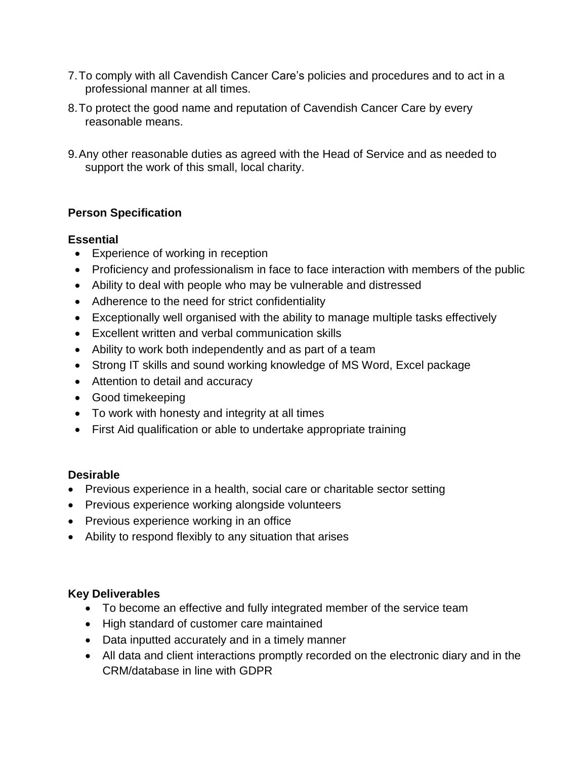- 7.To comply with all Cavendish Cancer Care's policies and procedures and to act in a professional manner at all times.
- 8.To protect the good name and reputation of Cavendish Cancer Care by every reasonable means.
- 9.Any other reasonable duties as agreed with the Head of Service and as needed to support the work of this small, local charity.

# **Person Specification**

## **Essential**

- Experience of working in reception
- Proficiency and professionalism in face to face interaction with members of the public
- Ability to deal with people who may be vulnerable and distressed
- Adherence to the need for strict confidentiality
- Exceptionally well organised with the ability to manage multiple tasks effectively
- Excellent written and verbal communication skills
- Ability to work both independently and as part of a team
- Strong IT skills and sound working knowledge of MS Word, Excel package
- Attention to detail and accuracy
- Good timekeeping
- To work with honesty and integrity at all times
- First Aid qualification or able to undertake appropriate training

## **Desirable**

- Previous experience in a health, social care or charitable sector setting
- Previous experience working alongside volunteers
- Previous experience working in an office
- Ability to respond flexibly to any situation that arises

## **Key Deliverables**

- To become an effective and fully integrated member of the service team
- High standard of customer care maintained
- Data inputted accurately and in a timely manner
- All data and client interactions promptly recorded on the electronic diary and in the CRM/database in line with GDPR